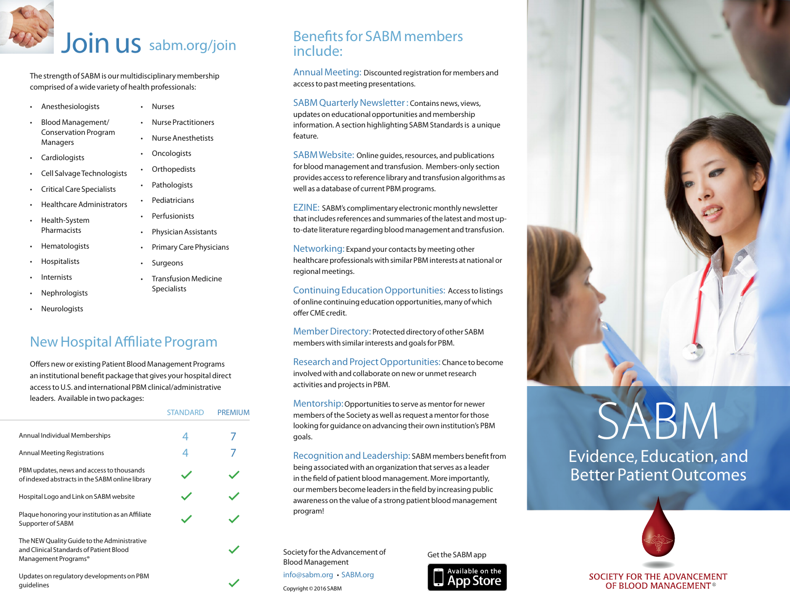## Join us sabm.org/join

• Nurses

The strength of SABM is our multidisciplinary membership comprised of a wide variety of health professionals:

- Anesthesiologists
- Blood Management/ Conservation Program Managers
- **Cardiologists**
- Cell Salvage Technologists
- Critical Care Specialists
- Healthcare Administrators
- Health-System Pharmacists
- **Hematologists**
- Hospitalists
- **Internists**
- **Nephrologists**
- Neurologists

### New Hospital Affiliate Program

Offers new or existing Patient Blood Management Programs an institutional benefit package that gives your hospital direct access to U.S. and international PBM clinical/administrative leaders. Available in two packages:

|                                                                                                                            | <b>STANDARD</b> | <b>PREMIUM</b> |
|----------------------------------------------------------------------------------------------------------------------------|-----------------|----------------|
| Annual Individual Memberships                                                                                              |                 |                |
| Annual Meeting Registrations                                                                                               |                 |                |
| PBM updates, news and access to thousands<br>of indexed abstracts in the SABM online library                               |                 |                |
| Hospital Logo and Link on SABM website                                                                                     |                 |                |
| Plaque honoring your institution as an Affiliate<br>Supporter of SABM                                                      |                 |                |
| The NEW Quality Guide to the Administrative<br>and Clinical Standards of Patient Blood<br>Management Programs <sup>®</sup> |                 |                |
| Updates on regulatory developments on PBM<br>quidelines                                                                    |                 |                |

#### Benefits for SABM members include:

Annual Meeting: Discounted registration for members and access to past meeting presentations.

SABM Quarterly Newsletter : Contains news, views, updates on educational opportunities and membership information. A section highlighting SABM Standards is a unique feature.

SABM Website: Online guides, resources, and publications for blood management and transfusion. Members-only section provides access to reference library and transfusion algorithms as well as a database of current PBM programs.

EZINE: SABM's complimentary electronic monthly newsletter that includes references and summaries of the latest and most upto-date literature regarding blood management and transfusion.

Networking: Expand your contacts by meeting other healthcare professionals with similar PBM interests at national or regional meetings.

Continuing Education Opportunities: Access to listings of online continuing education opportunities, many of which

Member Directory: Protected directory of other SABM

Research and Project Opportunities: Chance to become

Mentorship: Opportunities to serve as mentor for newer members of the Society as well as request a mentor for those looking for guidance on advancing their own institution's PBM goals.

Recognition and Leadership: SABM members benefit from being associated with an organization that serves as a leader in the field of patient blood management. More importantly, our members become leaders in the field by increasing public awareness on the value of a strong patient blood management program!

Society for the Advancement of Blood Management info@sabm.org • SABM.org

Copyright © 2016 SABM

Get the SABM app





# ABM

Evidence, Education, and Better Patient Outcomes



SOCIETY FOR THE ADVANCEMENT OF BLOOD MANAGEMENT<sup>®</sup>

• Nurse Anesthetists **Oncologists Orthopedists** • Pathologists **Pediatricians Perfusionists** • Physician Assistants

• Nurse Practitioners

- Primary Care Physicians
- **Surgeons**
- Transfusion Medicine Specialists
- offer CME credit.

members with similar interests and goals for PBM.

involved with and collaborate on new or unmet research activities and projects in PBM.